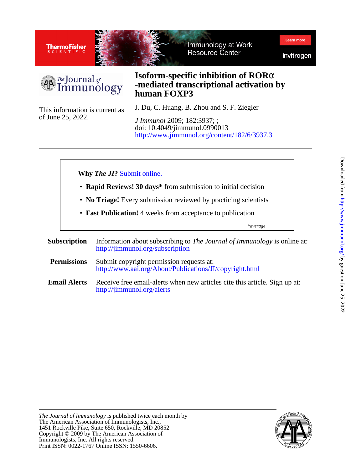

**Accelerating discovery** Delivering innovation to transform your discoveries and advance human health



# The Journal of<br>Immunology

### **human FOXP3 -mediated transcriptional activation by Isoform-specific inhibition of ROR**α

of June 25, 2022. This information is current as

#### J. Du, C. Huang, B. Zhou and S. F. Ziegler

<http://www.jimmunol.org/content/182/6/3937.3> doi: 10.4049/jimmunol.0990013 *J Immunol* 2009; 182:3937; ;

#### **Why** *The JI***?** [Submit online.](https://ji.msubmit.net)

- **Rapid Reviews! 30 days\*** from submission to initial decision
- **No Triage!** Every submission reviewed by practicing scientists
- **Fast Publication!** 4 weeks from acceptance to publication

\**average*

- **Subscription** <http://jimmunol.org/subscription> Information about subscribing to *The Journal of Immunology* is online at:
- **Permissions** <http://www.aai.org/About/Publications/JI/copyright.html> Submit copyright permission requests at:
- **Email Alerts** <http://jimmunol.org/alerts> Receive free email-alerts when new articles cite this article. Sign up at: